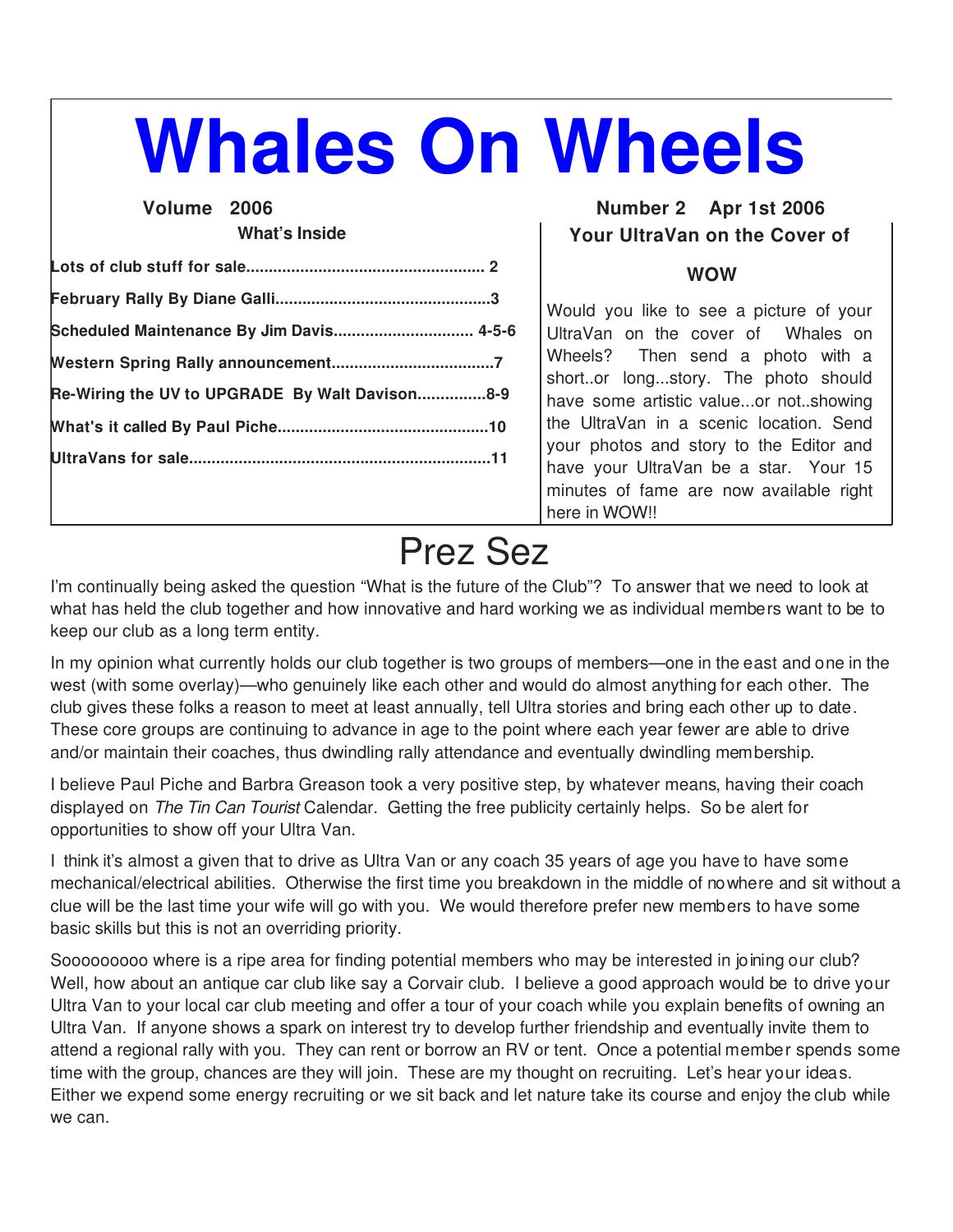# **Whales On Wheels**

# **What's Inside**

| Scheduled Maintenance By Jim Davis 4-5-6       |
|------------------------------------------------|
|                                                |
| Re-Wiring the UV to UPGRADE By Walt Davison8-9 |
|                                                |
|                                                |
|                                                |

## **Volume 2006 Number 2 Apr 1st 2006 Your UltraVan on the Cover of**

## **WOW**

Would you like to see a picture of your UltraVan on the cover of Whales on Wheels? Then send a photo with a short..or long...story. The photo should have some artistic value...or not..showing the UltraVan in a scenic location. Send your photos and story to the Editor and have your UltraVan be a star. Your 15 minutes of fame are now available right here in WOW!!

# Prez Sez

I'm continually being asked the question "What is the future of the Club"? To answer that we need to look at what has held the club together and how innovative and hard working we as individual members want to be to keep our club as a long term entity.

In my opinion what currently holds our club together is two groups of members—one in the east and one in the west (with some overlay)—who genuinely like each other and would do almost anything for each other. The club gives these folks a reason to meet at least annually, tell Ultra stories and bring each other up to date. These core groups are continuing to advance in age to the point where each year fewer are able to drive and/or maintain their coaches, thus dwindling rally attendance and eventually dwindling membership.

I believe Paul Piche and Barbra Greason took a very positive step, by whatever means, having their coach displayed on *The Tin Can Tourist* Calendar. Getting the free publicity certainly helps. So be alert for opportunities to show off your Ultra Van.

I think it's almost a given that to drive as Ultra Van or any coach 35 years of age you have to have some mechanical/electrical abilities. Otherwise the first time you breakdown in the middle of nowhere and sit without a clue will be the last time your wife will go with you. We would therefore prefer new members to have some basic skills but this is not an overriding priority.

Sooooooooo where is a ripe area for finding potential members who may be interested in joining our club? Well, how about an antique car club like say a Corvair club. I believe a good approach would be to drive your Ultra Van to your local car club meeting and offer a tour of your coach while you explain benefits of owning an Ultra Van. If anyone shows a spark on interest try to develop further friendship and eventually invite them to attend a regional rally with you. They can rent or borrow an RV or tent. Once a potential member spends some time with the group, chances are they will join. These are my thought on recruiting. Let's hear your ideas. Either we expend some energy recruiting or we sit back and let nature take its course and enjoy the club while we can.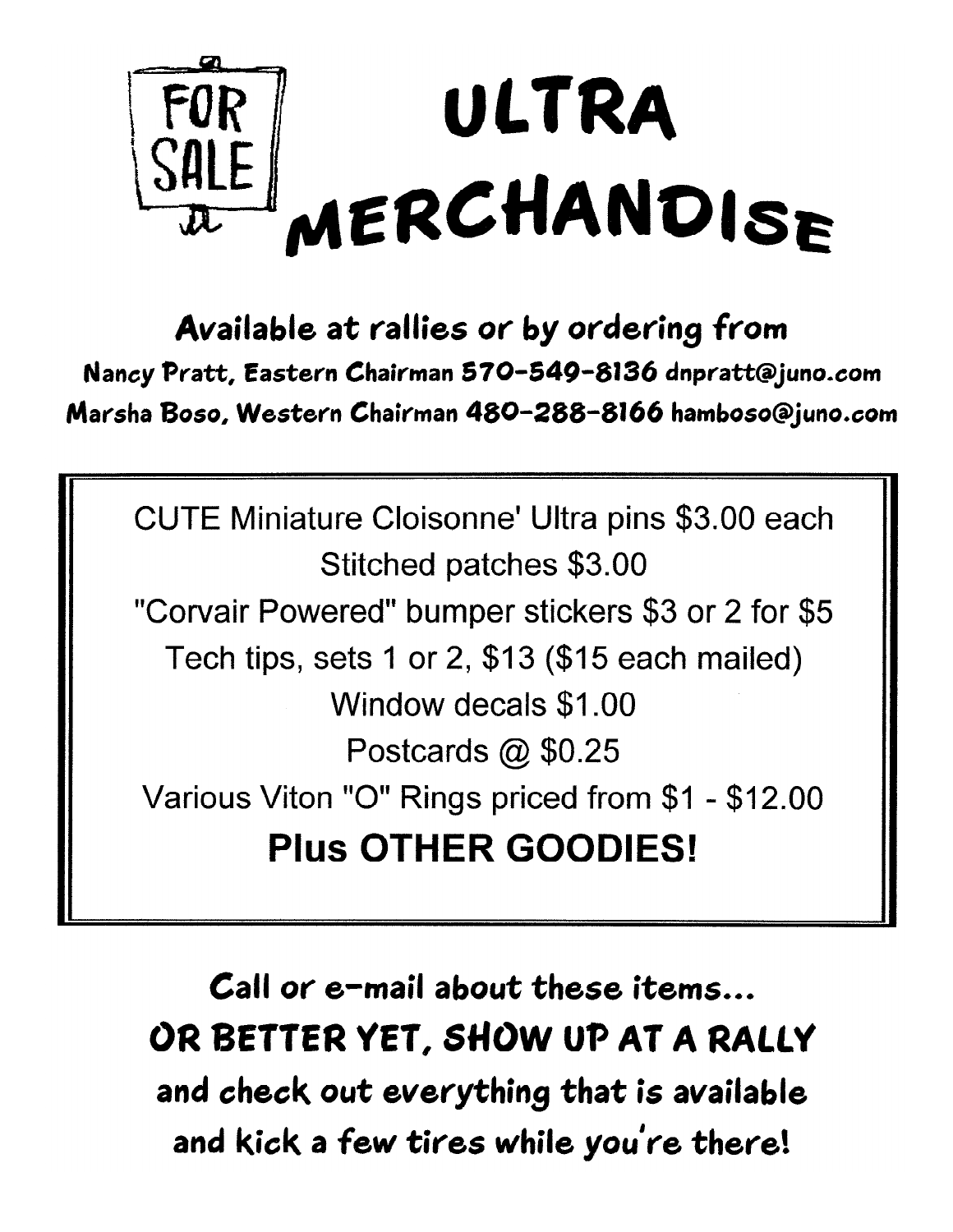

Available at rallies or by ordering from Nancy Pratt, Eastern Chairman 570-549-8136 dnpratt@juno.com Marsha Boso, Western Chairman 480-288-8166 hamboso@juno.com

CUTE Miniature Cloisonne' Ultra pins \$3.00 each Stitched patches \$3.00 "Corvair Powered" bumper stickers \$3 or 2 for \$5 Tech tips, sets 1 or 2, \$13 (\$15 each mailed) Window decals \$1,00 Postcards @ \$0.25 Various Viton "O" Rings priced from \$1 - \$12.00 **Plus OTHER GOODIES!** 

Call or e-mail about these items... OR BETTER YET, SHOW UP AT A RALLY and check out everything that is available and kick a few tires while you're there!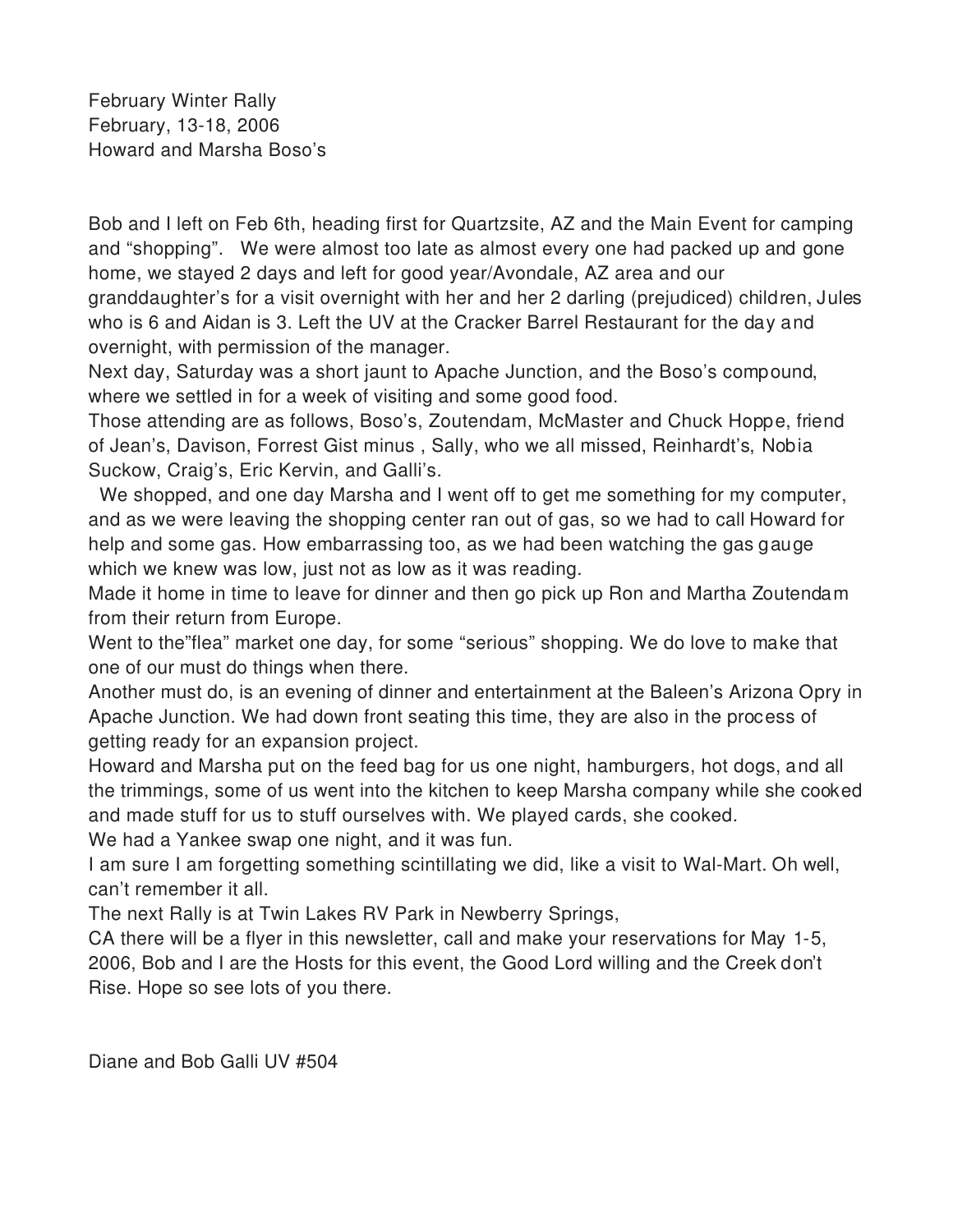February Winter Rally February, 13-18, 2006 Howard and Marsha Boso's

Bob and I left on Feb 6th, heading first for Quartzsite, AZ and the Main Event for camping and "shopping". We were almost too late as almost every one had packed up and gone home, we stayed 2 days and left for good year/Avondale, AZ area and our granddaughter's for a visit overnight with her and her 2 darling (prejudiced) children, Jules who is 6 and Aidan is 3. Left the UV at the Cracker Barrel Restaurant for the day and overnight, with permission of the manager.

Next day, Saturday was a short jaunt to Apache Junction, and the Boso's compound, where we settled in for a week of visiting and some good food.

Those attending are as follows, Boso's, Zoutendam, McMaster and Chuck Hoppe, friend of Jean's, Davison, Forrest Gist minus , Sally, who we all missed, Reinhardt's, Nobia Suckow, Craig's, Eric Kervin, and Galli's.

 We shopped, and one day Marsha and I went off to get me something for my computer, and as we were leaving the shopping center ran out of gas, so we had to call Howard for help and some gas. How embarrassing too, as we had been watching the gas gauge which we knew was low, just not as low as it was reading.

Made it home in time to leave for dinner and then go pick up Ron and Martha Zoutendam from their return from Europe.

Went to the"flea" market one day, for some "serious" shopping. We do love to make that one of our must do things when there.

Another must do, is an evening of dinner and entertainment at the Baleen's Arizona Opry in Apache Junction. We had down front seating this time, they are also in the process of getting ready for an expansion project.

Howard and Marsha put on the feed bag for us one night, hamburgers, hot dogs, and all the trimmings, some of us went into the kitchen to keep Marsha company while she cooked and made stuff for us to stuff ourselves with. We played cards, she cooked.

We had a Yankee swap one night, and it was fun.

I am sure I am forgetting something scintillating we did, like a visit to Wal-Mart. Oh well, can't remember it all.

The next Rally is at Twin Lakes RV Park in Newberry Springs,

CA there will be a flyer in this newsletter, call and make your reservations for May 1-5, 2006, Bob and I are the Hosts for this event, the Good Lord willing and the Creek don't Rise. Hope so see lots of you there.

Diane and Bob Galli UV #504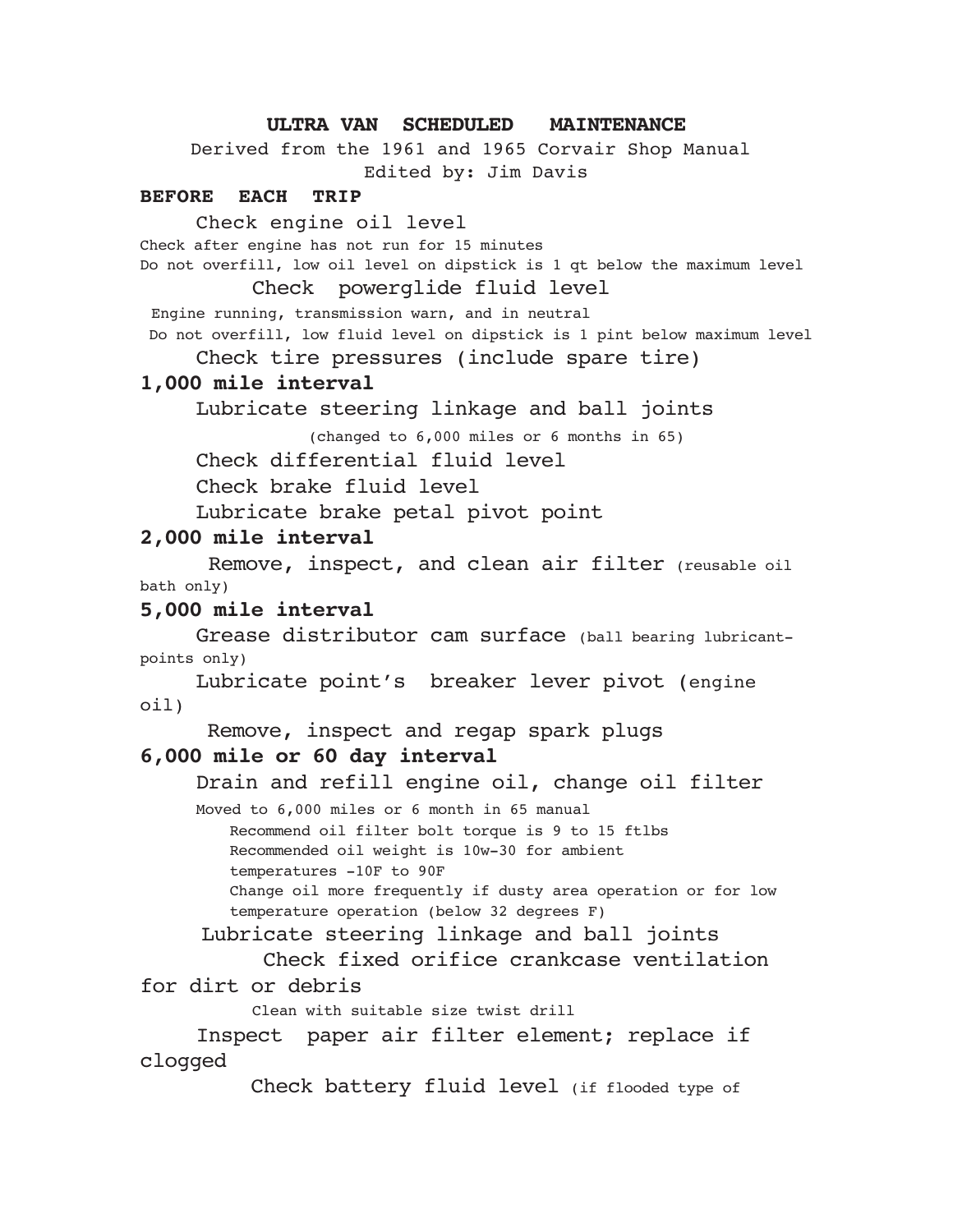## **ULTRA VAN SCHEDULED MAINTENANCE**

Derived from the 1961 and 1965 Corvair Shop Manual Edited by: Jim Davis

#### **BEFORE EACH TRIP**

Check engine oil level

Check after engine has not run for 15 minutes

Do not overfill, low oil level on dipstick is 1 qt below the maximum level

Check powerglide fluid level

Engine running, transmission warn, and in neutral Do not overfill, low fluid level on dipstick is 1 pint below maximum level

Check tire pressures (include spare tire)

### **1,000 mile interval**

Lubricate steering linkage and ball joints

(changed to 6,000 miles or 6 months in 65)

Check differential fluid level

Check brake fluid level

Lubricate brake petal pivot point

## **2,000 mile interval**

 Remove, inspect, and clean air filter (reusable oil bath only)

## **5,000 mile interval**

Grease distributor cam surface (ball bearing lubricantpoints only)

Lubricate point's breaker lever pivot (engine oil)

Remove, inspect and regap spark plugs

## **6,000 mile or 60 day interval**

Drain and refill engine oil, change oil filter

Moved to 6,000 miles or 6 month in 65 manual Recommend oil filter bolt torque is 9 to 15 ftlbs Recommended oil weight is 10w-30 for ambient temperatures -10F to 90F Change oil more frequently if dusty area operation or for low temperature operation (below 32 degrees F)

Lubricate steering linkage and ball joints

 Check fixed orifice crankcase ventilation for dirt or debris

Clean with suitable size twist drill

Inspect paper air filter element; replace if clogged

Check battery fluid level (if flooded type of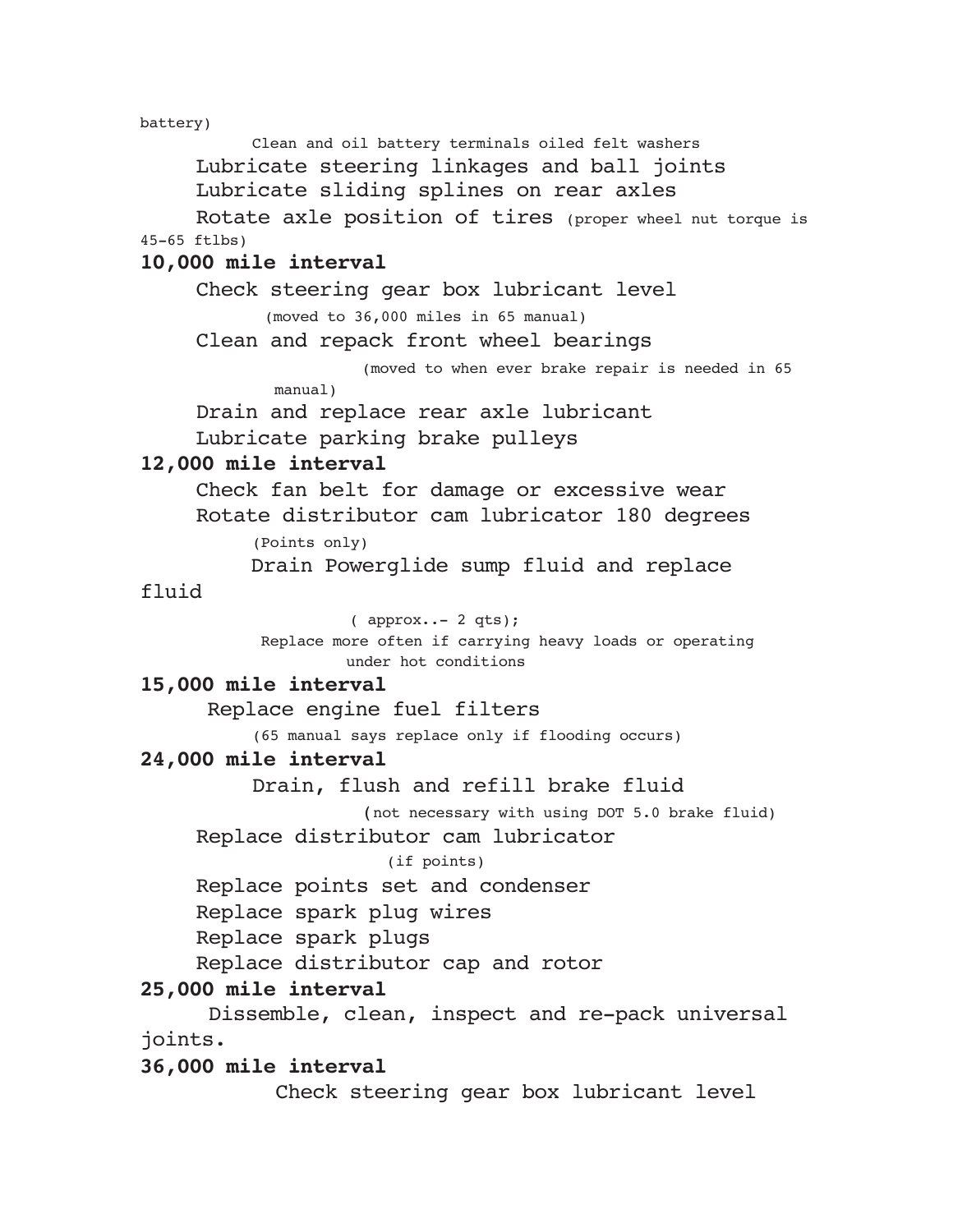battery)

Clean and oil battery terminals oiled felt washers Lubricate steering linkages and ball joints Lubricate sliding splines on rear axles Rotate axle position of tires (proper wheel nut torque is 45-65 ftlbs) **10,000 mile interval** Check steering gear box lubricant level (moved to 36,000 miles in 65 manual) Clean and repack front wheel bearings (moved to when ever brake repair is needed in 65 manual) Drain and replace rear axle lubricant Lubricate parking brake pulleys **12,000 mile interval** Check fan belt for damage or excessive wear Rotate distributor cam lubricator 180 degrees (Points only) Drain Powerglide sump fluid and replace fluid ( approx..- 2 qts); Replace more often if carrying heavy loads or operating under hot conditions **15,000 mile interval** Replace engine fuel filters (65 manual says replace only if flooding occurs) **24,000 mile interval** Drain, flush and refill brake fluid (not necessary with using DOT 5.0 brake fluid) Replace distributor cam lubricator (if points) Replace points set and condenser Replace spark plug wires Replace spark plugs Replace distributor cap and rotor **25,000 mile interval** Dissemble, clean, inspect and re-pack universal joints. **36,000 mile interval**

Check steering gear box lubricant level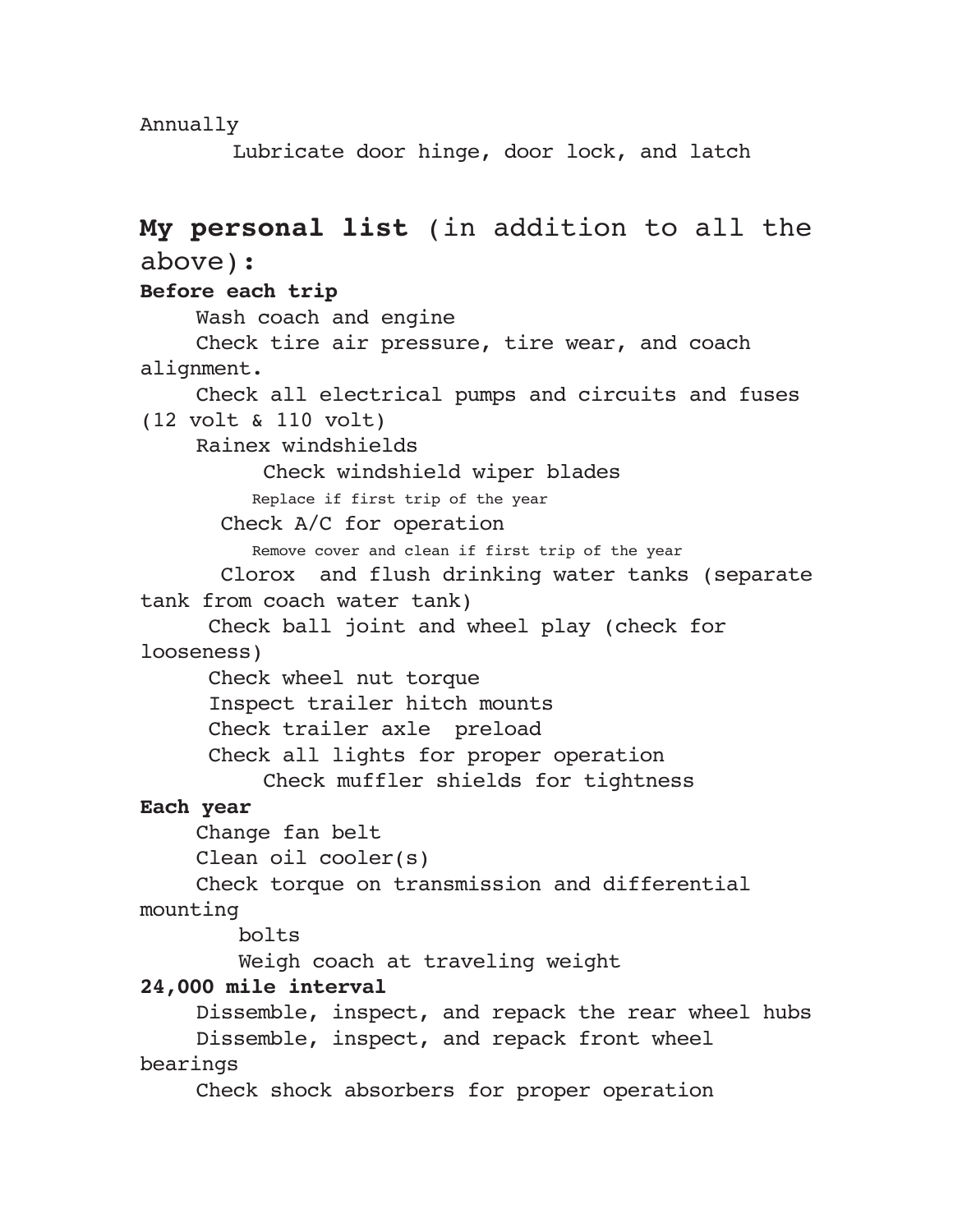Annually

Lubricate door hinge, door lock, and latch

## **My personal list** (in addition to all the above): **Before each trip** Wash coach and engine Check tire air pressure, tire wear, and coach alignment. Check all electrical pumps and circuits and fuses (12 volt & 110 volt) Rainex windshields Check windshield wiper blades Replace if first trip of the year Check A/C for operation Remove cover and clean if first trip of the year Clorox and flush drinking water tanks (separate tank from coach water tank) Check ball joint and wheel play (check for looseness) Check wheel nut torque Inspect trailer hitch mounts Check trailer axle preload Check all lights for proper operation Check muffler shields for tightness **Each year** Change fan belt Clean oil cooler(s) Check torque on transmission and differential mounting bolts Weigh coach at traveling weight **24,000 mile interval** Dissemble, inspect, and repack the rear wheel hubs Dissemble, inspect, and repack front wheel bearings Check shock absorbers for proper operation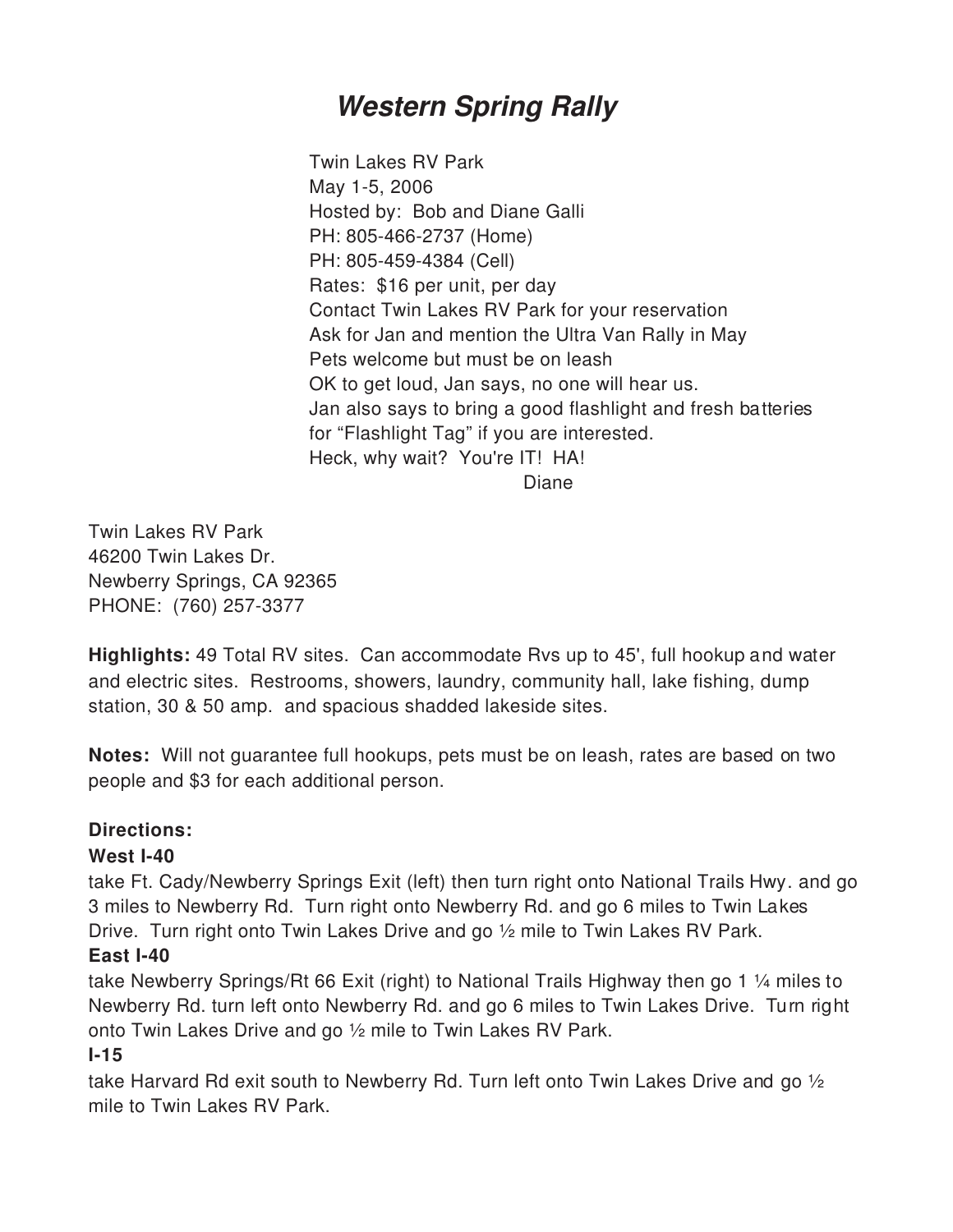## *Western Spring Rally*

Twin Lakes RV Park May 1-5, 2006 Hosted by: Bob and Diane Galli PH: 805-466-2737 (Home) PH: 805-459-4384 (Cell) Rates: \$16 per unit, per day Contact Twin Lakes RV Park for your reservation Ask for Jan and mention the Ultra Van Rally in May Pets welcome but must be on leash OK to get loud, Jan says, no one will hear us. Jan also says to bring a good flashlight and fresh batteries for "Flashlight Tag" if you are interested. Heck, why wait? You're IT! HA! Diane

Twin Lakes RV Park 46200 Twin Lakes Dr. Newberry Springs, CA 92365 PHONE: (760) 257-3377

**Highlights:** 49 Total RV sites. Can accommodate Rvs up to 45', full hookup and water and electric sites. Restrooms, showers, laundry, community hall, lake fishing, dump station, 30 & 50 amp. and spacious shadded lakeside sites.

**Notes:** Will not guarantee full hookups, pets must be on leash, rates are based on two people and \$3 for each additional person.

## **Directions:**

## **West I-40**

take Ft. Cady/Newberry Springs Exit (left) then turn right onto National Trails Hwy. and go 3 miles to Newberry Rd. Turn right onto Newberry Rd. and go 6 miles to Twin Lakes Drive. Turn right onto Twin Lakes Drive and go  $\frac{1}{2}$  mile to Twin Lakes RV Park.

## **East I-40**

take Newberry Springs/Rt 66 Exit (right) to National Trails Highway then go 1 ¼ miles to Newberry Rd. turn left onto Newberry Rd. and go 6 miles to Twin Lakes Drive. Turn right onto Twin Lakes Drive and go ½ mile to Twin Lakes RV Park.

## **I-15**

take Harvard Rd exit south to Newberry Rd. Turn left onto Twin Lakes Drive and go  $\frac{1}{2}$ mile to Twin Lakes RV Park.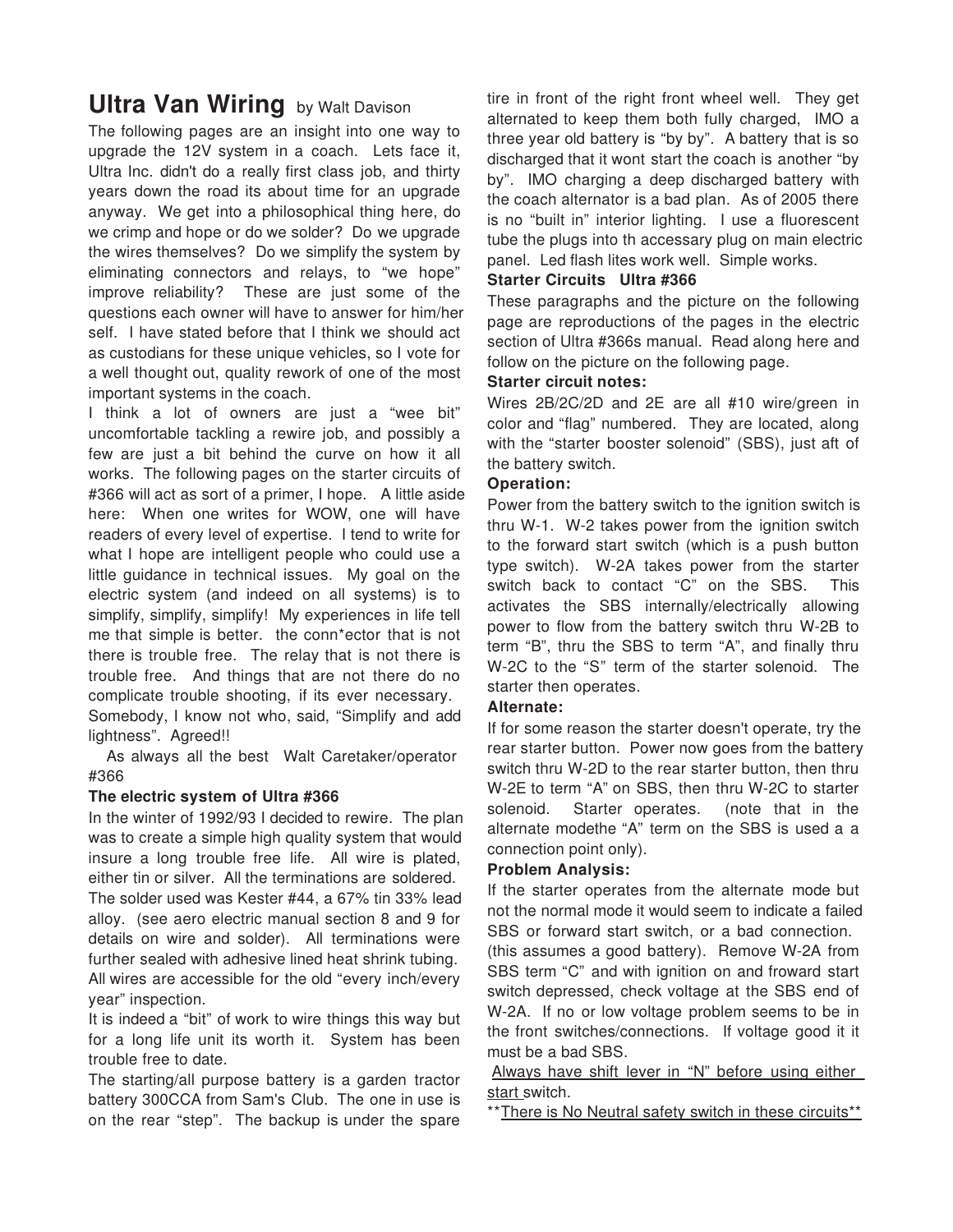## **Ultra Van Wiring** by Walt Davison

The following pages are an insight into one way to upgrade the 12V system in a coach. Lets face it, Ultra Inc. didn't do a really first class job, and thirty years down the road its about time for an upgrade anyway. We get into a philosophical thing here, do we crimp and hope or do we solder? Do we upgrade the wires themselves? Do we simplify the system by eliminating connectors and relays, to "we hope" improve reliability? These are just some of the questions each owner will have to answer for him/her self. I have stated before that I think we should act as custodians for these unique vehicles, so I vote for a well thought out, quality rework of one of the most important systems in the coach.

I think a lot of owners are just a "wee bit" uncomfortable tackling a rewire job, and possibly a few are just a bit behind the curve on how it all works. The following pages on the starter circuits of #366 will act as sort of a primer, I hope. A little aside here: When one writes for WOW, one will have readers of every level of expertise. I tend to write for what I hope are intelligent people who could use a little guidance in technical issues. My goal on the electric system (and indeed on all systems) is to simplify, simplify, simplify! My experiences in life tell me that simple is better. the conn\*ector that is not there is trouble free. The relay that is not there is trouble free. And things that are not there do no complicate trouble shooting, if its ever necessary. Somebody, I know not who, said, "Simplify and add lightness". Agreed!!

 As always all the best Walt Caretaker/operator #366

## **The electric system of Ultra #366**

In the winter of 1992/93 I decided to rewire. The plan was to create a simple high quality system that would insure a long trouble free life. All wire is plated, either tin or silver. All the terminations are soldered.

The solder used was Kester #44, a 67% tin 33% lead alloy. (see aero electric manual section 8 and 9 for details on wire and solder). All terminations were further sealed with adhesive lined heat shrink tubing. All wires are accessible for the old "every inch/every year" inspection.

It is indeed a "bit" of work to wire things this way but for a long life unit its worth it. System has been trouble free to date.

The starting/all purpose battery is a garden tractor battery 300CCA from Sam's Club. The one in use is on the rear "step". The backup is under the spare tire in front of the right front wheel well. They get alternated to keep them both fully charged, IMO a three year old battery is "by by". A battery that is so discharged that it wont start the coach is another "by by". IMO charging a deep discharged battery with the coach alternator is a bad plan. As of 2005 there is no "built in" interior lighting. I use a fluorescent tube the plugs into th accessary plug on main electric panel. Led flash lites work well. Simple works.

## **Starter Circuits Ultra #366**

These paragraphs and the picture on the following page are reproductions of the pages in the electric section of Ultra #366s manual. Read along here and follow on the picture on the following page.

## **Starter circuit notes:**

Wires 2B/2C/2D and 2E are all #10 wire/green in color and "flag" numbered. They are located, along with the "starter booster solenoid" (SBS), just aft of the battery switch.

## **Operation:**

Power from the battery switch to the ignition switch is thru W-1. W-2 takes power from the ignition switch to the forward start switch (which is a push button type switch). W-2A takes power from the starter switch back to contact "C" on the SBS. This activates the SBS internally/electrically allowing power to flow from the battery switch thru W-2B to term "B", thru the SBS to term "A", and finally thru W-2C to the "S" term of the starter solenoid. The starter then operates.

## **Alternate:**

If for some reason the starter doesn't operate, try the rear starter button. Power now goes from the battery switch thru W-2D to the rear starter button, then thru W-2E to term "A" on SBS, then thru W-2C to starter solenoid. Starter operates. (note that in the alternate modethe "A" term on the SBS is used a a connection point only).

## **Problem Analysis:**

If the starter operates from the alternate mode but not the normal mode it would seem to indicate a failed SBS or forward start switch, or a bad connection.

(this assumes a good battery). Remove W-2A from SBS term "C" and with ignition on and froward start switch depressed, check voltage at the SBS end of W-2A. If no or low voltage problem seems to be in the front switches/connections. If voltage good it it must be a bad SBS.

Always have shift lever in "N" before using either start switch.

\*\*There is No Neutral safety switch in these circuits\*\*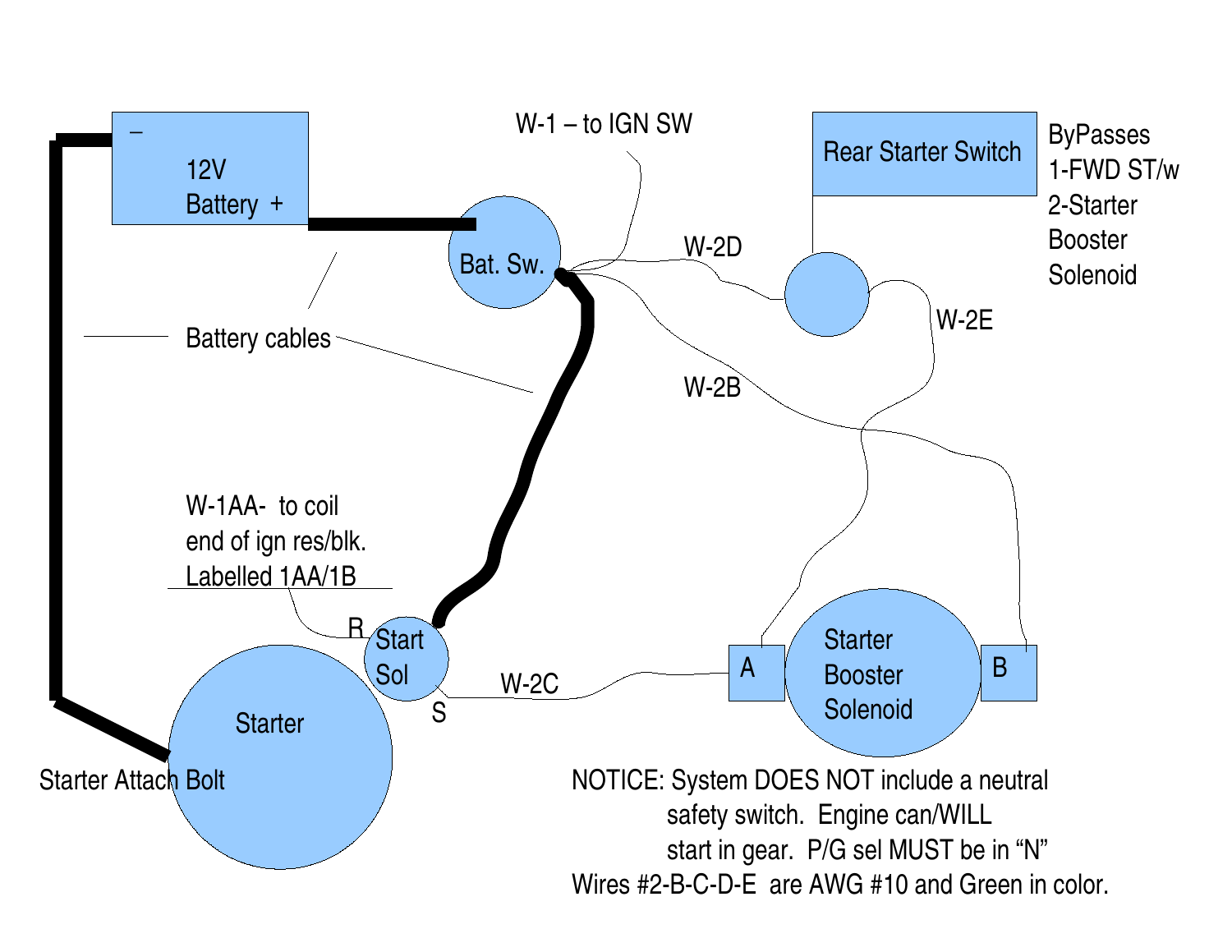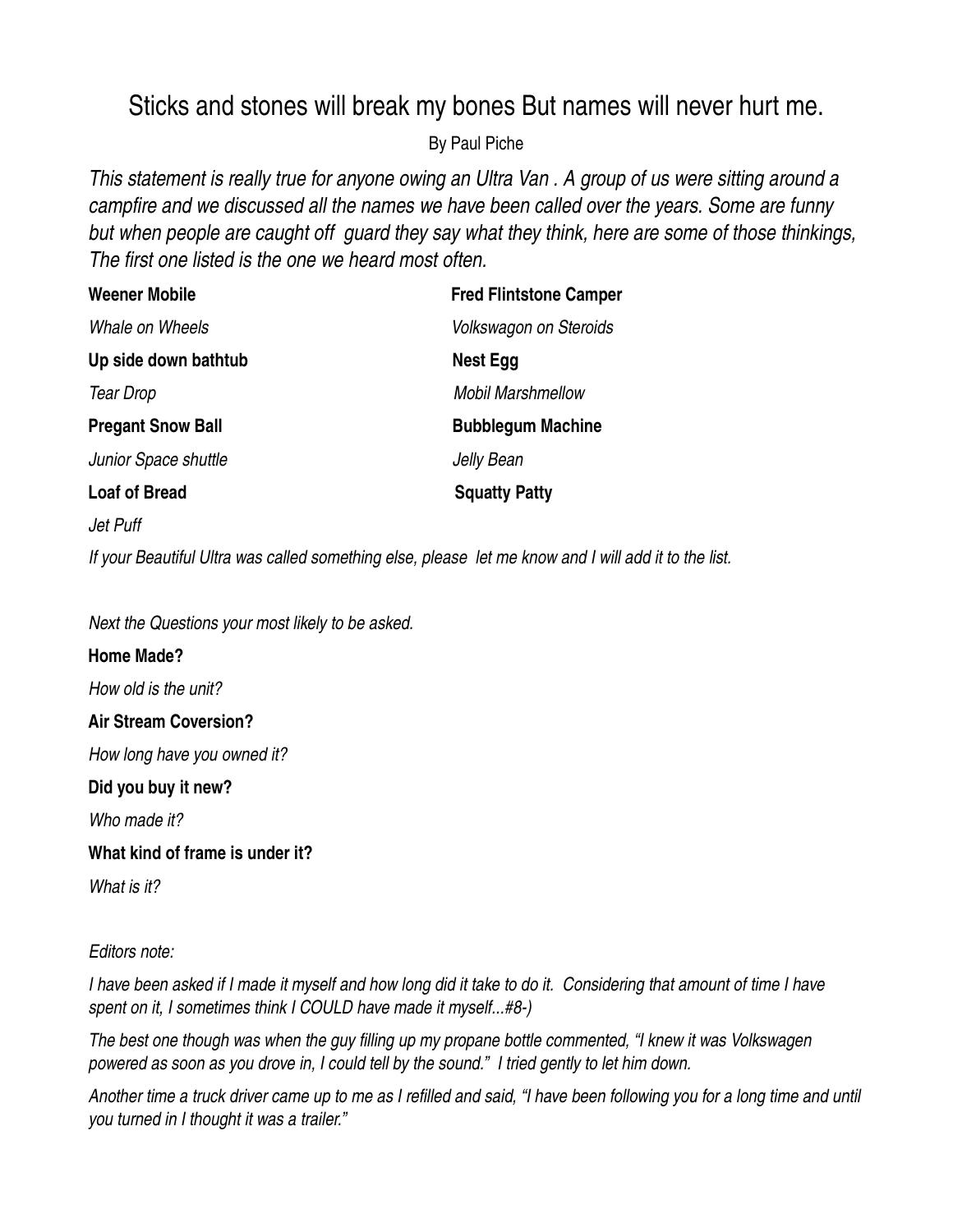## Sticks and stones will break my bones But names will never hurt me.

By Paul Piche

This statement is really true for anyone owing an Ultra Van. A group of us were sitting around a *campfire and we discussed all the names we have been called over the years. Some are funny but when people are caught off guard they say what they think, here are some of those thinkings, The first one listed is the one we heard most often.*

| <b>Weener Mobile</b>     | <b>Fred Flintstone Camper</b> |
|--------------------------|-------------------------------|
| Whale on Wheels          | <b>Volkswagon on Steroids</b> |
| Up side down bathtub     | Nest Egg                      |
| <b>Tear Drop</b>         | <b>Mobil Marshmellow</b>      |
| <b>Pregant Snow Ball</b> | <b>Bubblegum Machine</b>      |
| Junior Space shuttle     | Jelly Bean                    |
| <b>Loaf of Bread</b>     | <b>Squatty Patty</b>          |
| Jet Puff                 |                               |

If your Beautiful Ultra was called something else, please let me know and I will add it to the list.

*Next the Questions your most likely to be asked.*

**Home Made?** *How old is the unit?* **Air Stream Coversion?** *How long have you owned it?* **Did you buy it new?** *Who made it?*

**What kind of frame is under it?**

*What is it?*

## *Editors note:*

I have been asked if I made it myself and how long did it take to do it. Considering that amount of time I have *spent on it, I sometimes think I COULD have made it myself...#8-)*

The best one though was when the guy filling up my propane bottle commented, "I knew it was Volkswagen powered as soon as you drove in, I could tell by the sound." I tried gently to let him down.

Another time a truck driver came up to me as I refilled and said, "I have been following you for a long time and until *you turned in I thought it was a trailer."*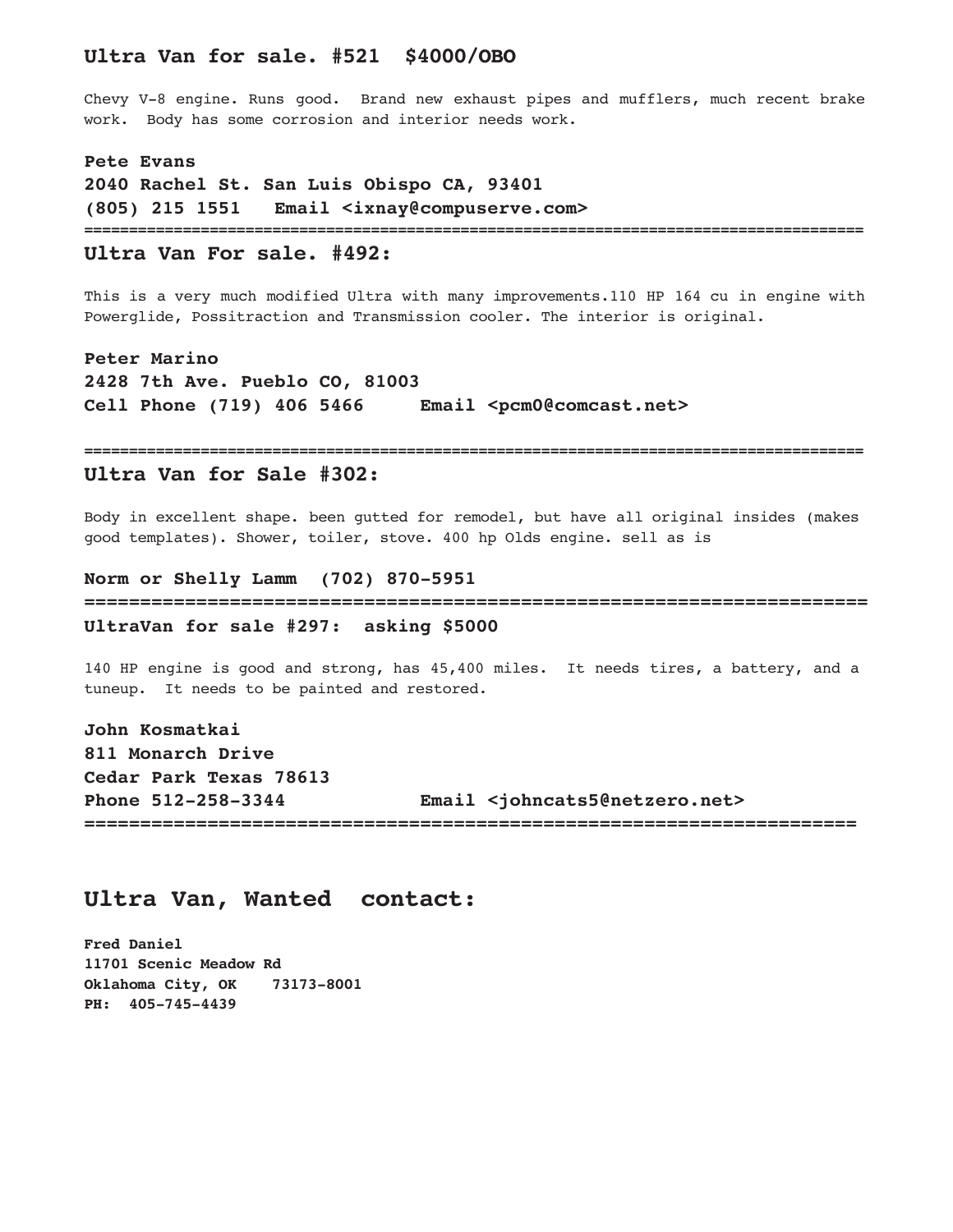## **Ultra Van for sale. #521 \$4000/OBO**

Chevy V-8 engine. Runs good. Brand new exhaust pipes and mufflers, much recent brake work. Body has some corrosion and interior needs work.

**Pete Evans 2040 Rachel St. San Luis Obispo CA, 93401 (805) 215 1551 Email <ixnay@compuserve.com> =======================================================================================**

## **Ultra Van For sale. #492:**

This is a very much modified Ultra with many improvements.110 HP 164 cu in engine with Powerglide, Possitraction and Transmission cooler. The interior is original.

**Peter Marino 2428 7th Ave. Pueblo CO, 81003 Cell Phone (719) 406 5466 Email <pcm0@comcast.net>**

#### **Ultra Van for Sale #302:**

Body in excellent shape. been gutted for remodel, but have all original insides (makes good templates). Shower, toiler, stove. 400 hp Olds engine. sell as is

**=======================================================================================**

**Norm or Shelly Lamm (702) 870-5951 ====================================================================== UltraVan for sale #297: asking \$5000**

140 HP engine is good and strong, has 45,400 miles. It needs tires, a battery, and a tuneup. It needs to be painted and restored.

**John Kosmatkai 811 Monarch Drive Cedar Park Texas 78613 Phone 512-258-3344 Email <johncats5@netzero.net> =====================================================================**

## **Ultra Van, Wanted contact:**

**Fred Daniel 11701 Scenic Meadow Rd Oklahoma City, OK 73173-8001 PH: 405-745-4439**